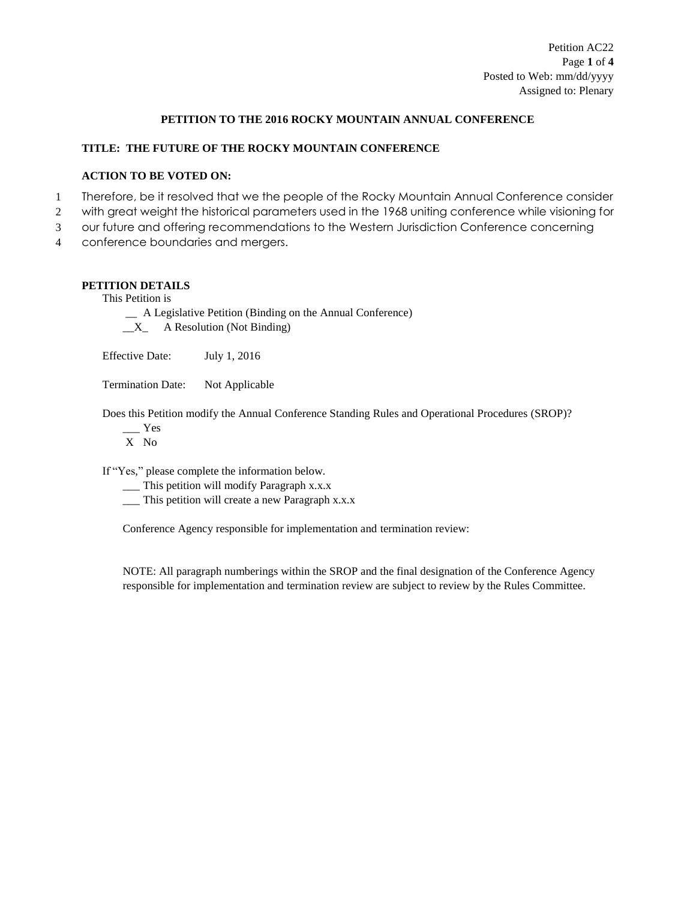# **PETITION TO THE 2016 ROCKY MOUNTAIN ANNUAL CONFERENCE**

# **TITLE: THE FUTURE OF THE ROCKY MOUNTAIN CONFERENCE**

# **ACTION TO BE VOTED ON:**

- 1 Therefore, be it resolved that we the people of the Rocky Mountain Annual Conference consider
- 2 with great weight the historical parameters used in the 1968 uniting conference while visioning for
- 3 our future and offering recommendations to the Western Jurisdiction Conference concerning
- 4 conference boundaries and mergers.

# **PETITION DETAILS**

This Petition is

\_\_ A Legislative Petition (Binding on the Annual Conference)  $X_$  A Resolution (Not Binding)

Effective Date: July 1, 2016

Termination Date: Not Applicable

Does this Petition modify the Annual Conference Standing Rules and Operational Procedures (SROP)?

 $\equiv$  Yes

X No

If "Yes," please complete the information below.

- \_\_\_ This petition will modify Paragraph x.x.x
- \_\_\_ This petition will create a new Paragraph x.x.x

Conference Agency responsible for implementation and termination review:

NOTE: All paragraph numberings within the SROP and the final designation of the Conference Agency responsible for implementation and termination review are subject to review by the Rules Committee.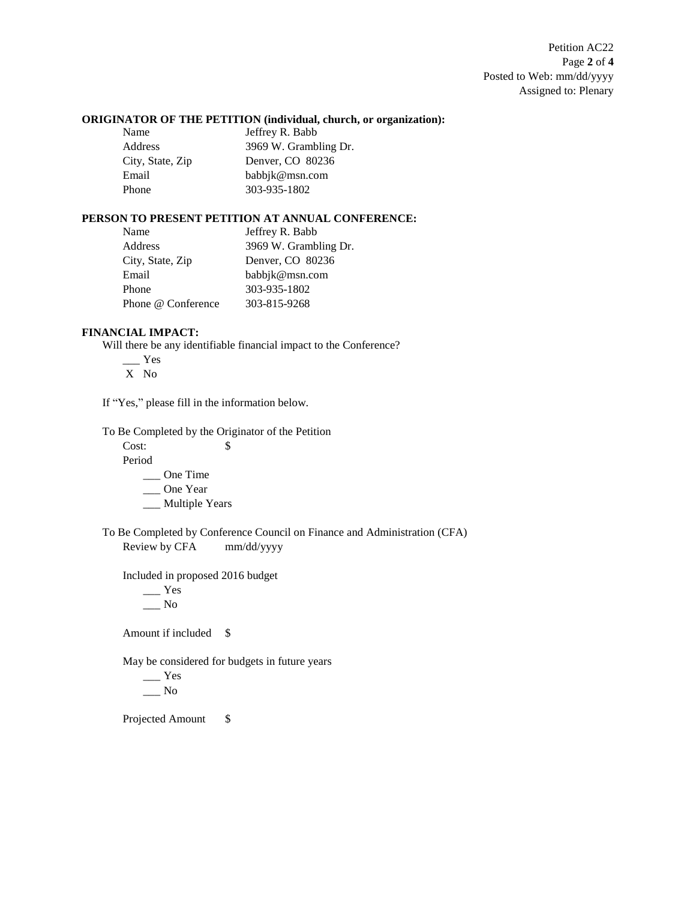# **ORIGINATOR OF THE PETITION (individual, church, or organization):**

| Jeffrey R. Babb       |
|-----------------------|
| 3969 W. Grambling Dr. |
| Denver, CO 80236      |
| babbjk@msn.com        |
| 303-935-1802          |
|                       |

# **PERSON TO PRESENT PETITION AT ANNUAL CONFERENCE:**

| Name               | Jeffrey R. Babb       |
|--------------------|-----------------------|
| Address            | 3969 W. Grambling Dr. |
| City, State, Zip   | Denver, CO 80236      |
| Email              | babbjk@msn.com        |
| Phone              | 303-935-1802          |
| Phone @ Conference | 303-815-9268          |

## **FINANCIAL IMPACT:**

Will there be any identifiable financial impact to the Conference?

\_\_\_ Yes

X No

If "Yes," please fill in the information below.

To Be Completed by the Originator of the Petition

Cost: \$

Period

\_\_\_ One Time

\_\_\_ One Year

\_\_ Multiple Years

To Be Completed by Conference Council on Finance and Administration (CFA) Review by CFA mm/dd/yyyy

Included in proposed 2016 budget

 $\_\_$  Yes  $\_\_$  No

Amount if included \$

May be considered for budgets in future years

\_\_\_ Yes  $\_\_$  No

Projected Amount \$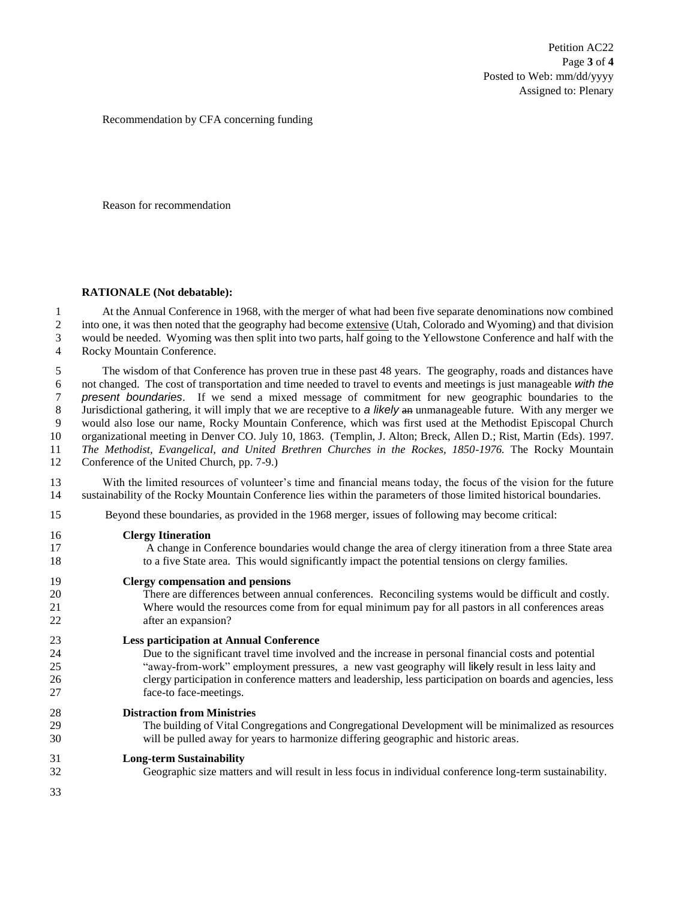Petition AC22 Page **3** of **4** Posted to Web: mm/dd/yyyy Assigned to: Plenary

Recommendation by CFA concerning funding

Reason for recommendation

#### **RATIONALE (Not debatable):**

 At the Annual Conference in 1968, with the merger of what had been five separate denominations now combined 2 into one, it was then noted that the geography had become extensive (Utah, Colorado and Wyoming) and that division would be needed. Wyoming was then split into two parts, half going to the Yellowstone Conference and half with the Rocky Mountain Conference.

 The wisdom of that Conference has proven true in these past 48 years. The geography, roads and distances have not changed. The cost of transportation and time needed to travel to events and meetings is just manageable *with the present boundaries*. If we send a mixed message of commitment for new geographic boundaries to the Jurisdictional gathering, it will imply that we are receptive to *a likely* an unmanageable future. With any merger we would also lose our name, Rocky Mountain Conference, which was first used at the Methodist Episcopal Church organizational meeting in Denver CO. July 10, 1863. (Templin, J. Alton; Breck, Allen D.; Rist, Martin (Eds). 1997. *The Methodist, Evangelical, and United Brethren Churches in the Rockes, 1850-1976.* The Rocky Mountain Conference of the United Church, pp. 7-9.)

 With the limited resources of volunteer's time and financial means today, the focus of the vision for the future sustainability of the Rocky Mountain Conference lies within the parameters of those limited historical boundaries.

Beyond these boundaries, as provided in the 1968 merger, issues of following may become critical:

### **Clergy Itineration**

- A change in Conference boundaries would change the area of clergy itineration from a three State area to a five State area. This would significantly impact the potential tensions on clergy families.
- **Clergy compensation and pensions**

 There are differences between annual conferences. Reconciling systems would be difficult and costly. Where would the resources come from for equal minimum pay for all pastors in all conferences areas after an expansion?

#### **Less participation at Annual Conference**

 Due to the significant travel time involved and the increase in personal financial costs and potential "away-from-work" employment pressures, a new vast geography will likely result in less laity and clergy participation in conference matters and leadership, less participation on boards and agencies, less face-to face-meetings.

**Distraction from Ministries**

 The building of Vital Congregations and Congregational Development will be minimalized as resources will be pulled away for years to harmonize differing geographic and historic areas.

### **Long-term Sustainability**

Geographic size matters and will result in less focus in individual conference long-term sustainability.